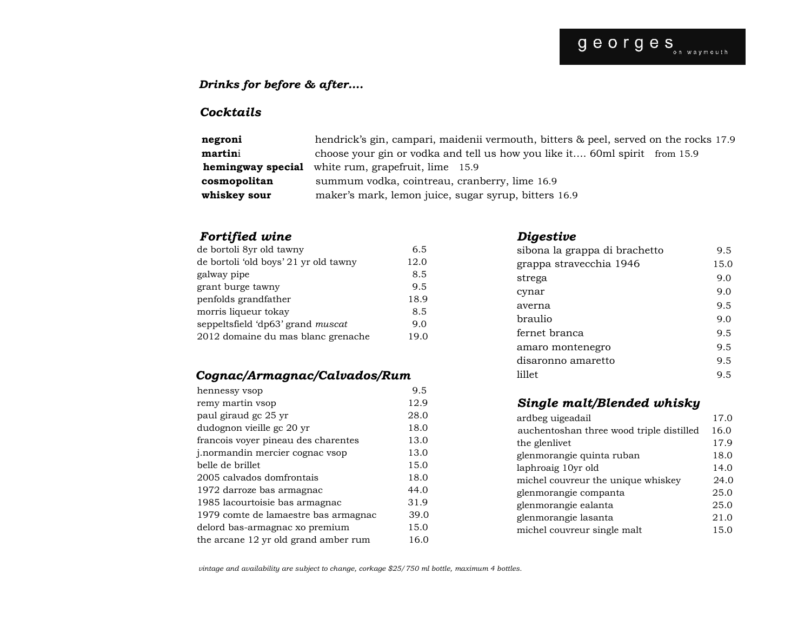### *Drinks for before & after….*

### *Cocktails*

| negroni      | hendrick's gin, campari, maidenii vermouth, bitters & peel, served on the rocks 17.9 |
|--------------|--------------------------------------------------------------------------------------|
| martini      | choose your gin or vodka and tell us how you like it 60ml spirit from 15.9           |
|              | <b>hemingway special</b> white rum, grapefruit, lime 15.9                            |
| cosmopolitan | summum vodka, cointreau, cranberry, lime 16.9                                        |
| whiskey sour | maker's mark, lemon juice, sugar syrup, bitters 16.9                                 |

### *Fortified wine*

| de bortoli 8yr old tawny              | 6.5  |
|---------------------------------------|------|
| de bortoli 'old boys' 21 yr old tawny | 12.0 |
| galway pipe                           | 8.5  |
| grant burge tawny                     | 9.5  |
| penfolds grandfather                  | 18.9 |
| morris liqueur tokay                  | 8.5  |
| seppeltsfield 'dp63' grand muscat     | 9.0  |
| 2012 domaine du mas blanc grenache    | 19.0 |

### *Cognac/Armagnac/Calvados/Rum*

| hennessy vsop                          | 9.5  |
|----------------------------------------|------|
| remy martin vsop                       | 12.9 |
| paul giraud gc 25 yr                   | 28.0 |
| dudognon vieille gc 20 yr              | 18.0 |
| francois voyer pineau des charentes    | 13.0 |
| <i>i.normandin mercier cognac vsop</i> | 13.0 |
| belle de brillet                       | 15.0 |
| 2005 calvados domfrontais              | 18.0 |
| 1972 darroze bas armagnac              | 44.0 |
| 1985 lacourtoisie bas armagnac         | 31.9 |
| 1979 comte de lamaestre bas armagnac   | 39.0 |
| delord bas-armagnac xo premium         | 15.0 |
| the arcane 12 yr old grand amber rum   | 16.0 |

### *Digestive*

| sibona la grappa di brachetto | 9.5  |
|-------------------------------|------|
| grappa stravecchia 1946       | 15.0 |
| strega                        | 9.0  |
| cynar                         | 9.0  |
| averna                        | 9.5  |
| braulio                       | 9.0  |
| fernet branca                 | 9.5  |
| amaro montenegro              | 9.5  |
| disaronno amaretto            | 9.5  |
| lillet                        | 9.5  |

### *Single malt/Blended whisky*

| ardbeg uigeadail                         | 17.0 |
|------------------------------------------|------|
| auchentoshan three wood triple distilled | 16.0 |
| the glenlivet                            | 17.9 |
| glenmorangie quinta ruban                | 18.0 |
| laphroaig 10yr old                       | 14.0 |
| michel couvreur the unique whiskey       | 24.0 |
| glenmorangie companta                    | 25.0 |
| glenmorangie ealanta                     | 25.0 |
| glenmorangie lasanta                     | 21.0 |
| michel couvreur single malt              | 15.0 |
|                                          |      |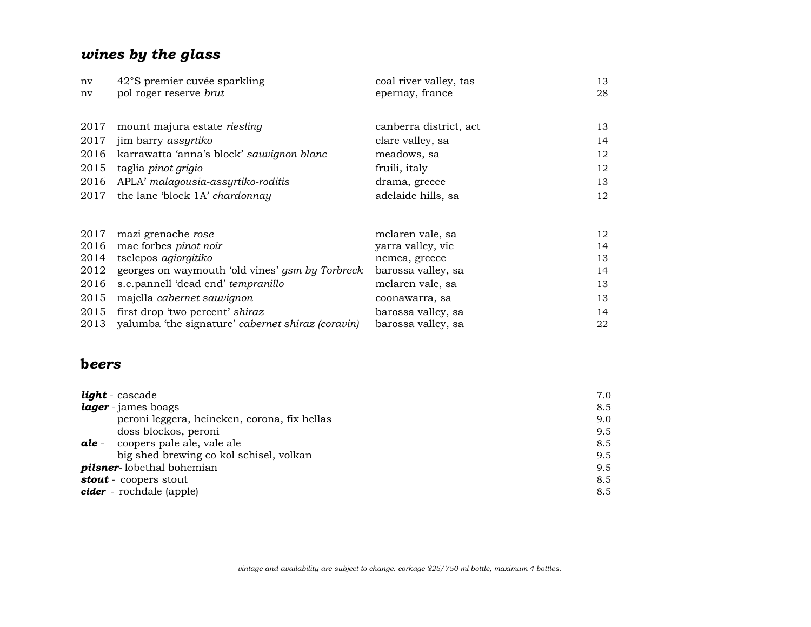# *wines by the glass*

| nv   | 42°S premier cuvée sparkling                      | coal river valley, tas | 13 |
|------|---------------------------------------------------|------------------------|----|
| nv   | pol roger reserve brut                            | epernay, france        | 28 |
|      |                                                   |                        |    |
| 2017 | mount majura estate <i>riesling</i>               | canberra district, act | 13 |
| 2017 | jim barry <i>assyrtiko</i>                        | clare valley, sa       | 14 |
| 2016 | karrawatta 'anna's block' sauvignon blanc         | meadows, sa            | 12 |
| 2015 | taglia <i>pinot grigio</i>                        | fruili, italy          | 12 |
| 2016 | APLA' malagousia-assyrtiko-roditis                | drama, greece          | 13 |
| 2017 | the lane 'block 1A' chardonnay                    | adelaide hills, sa     | 12 |
|      |                                                   |                        |    |
| 2017 | mazi grenache rose                                | mclaren vale, sa       | 12 |
| 2016 | mac forbes pinot noir                             | yarra valley, vic      | 14 |
| 2014 | tselepos agiorgitiko                              | nemea, greece          | 13 |
| 2012 | georges on waymouth 'old vines' gsm by Torbreck   | barossa valley, sa     | 14 |
| 2016 | s.c.pannell 'dead end' tempranillo                | mclaren vale, sa       | 13 |
| 2015 | majella cabernet sauvignon                        | coonawarra, sa         | 13 |
| 2015 | first drop 'two percent' shiraz                   | barossa valley, sa     | 14 |
| 2013 | yalumba 'the signature' cabernet shiraz (coravin) | barossa valley, sa     | 22 |

## **b***eers*

| light - cascade                              | 7.0 |
|----------------------------------------------|-----|
| lager - james boags                          | 8.5 |
| peroni leggera, heineken, corona, fix hellas | 9.0 |
| doss blockos, peroni                         | 9.5 |
| coopers pale ale, vale ale<br>ale -          | 8.5 |
| big shed brewing co kol schisel, volkan      | 9.5 |
| <b>pilsner</b> -lobethal bohemian            | 9.5 |
| stout - coopers stout                        | 8.5 |
| cider - rochdale (apple)                     | 8.5 |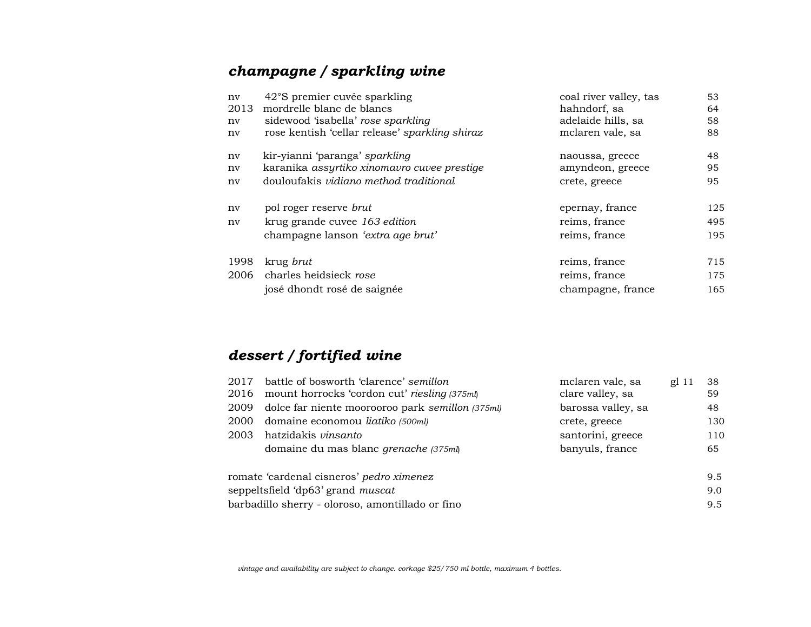# *champagne / sparkling wine*

| nv<br>2013<br>nv<br>nv | 42°S premier cuvée sparkling<br>mordrelle blanc de blancs<br>sidewood 'isabella' rose sparkling<br>rose kentish 'cellar release' sparkling shiraz | coal river valley, tas<br>hahndorf, sa<br>adelaide hills, sa<br>mclaren vale, sa | 53<br>64<br>58<br>88 |
|------------------------|---------------------------------------------------------------------------------------------------------------------------------------------------|----------------------------------------------------------------------------------|----------------------|
| ny<br>nv               | kir-yianni 'paranga' sparkling<br>karanika assyrtiko xinomavro cuvee prestige                                                                     | naoussa, greece<br>amyndeon, greece                                              | 48<br>95             |
| nv                     | douloufakis <i>vidiano</i> method traditional                                                                                                     | crete, greece                                                                    | 95                   |
| nv                     | pol roger reserve brut                                                                                                                            | epernay, france                                                                  | 125                  |
| nv                     | krug grande cuvee 163 edition                                                                                                                     | reims, france                                                                    | 495                  |
|                        | champagne lanson 'extra age brut'                                                                                                                 | reims, france                                                                    | 195                  |
| 1998                   | krug <i>brut</i>                                                                                                                                  | reims, france                                                                    | 715                  |
|                        | 2006 charles heidsieck rose                                                                                                                       | reims, france                                                                    | 175                  |
|                        | josé dhondt rosé de saignée                                                                                                                       | champagne, france                                                                | 165                  |

# *dessert / fortified wine*

| 2017 | battle of bosworth 'clarence' semillon<br>2016 mount horrocks 'cordon cut' riesling (375ml) | mclaren vale, sa<br>clare valley, sa | $gl$ 11 | 38<br>59 |
|------|---------------------------------------------------------------------------------------------|--------------------------------------|---------|----------|
| 2009 | dolce far niente moorooroo park semillon (375ml)                                            | barossa valley, sa                   |         | 48.      |
| 2000 | domaine economou liatiko (500ml)                                                            | crete, greece                        |         | 130      |
| 2003 | hatzidakis <i>vinsanto</i>                                                                  | santorini, greece                    |         | 110      |
|      | domaine du mas blanc grenache (375ml)                                                       | banyuls, france                      |         | 65       |
|      | romate 'cardenal cisneros' pedro ximenez                                                    |                                      |         | 9.5      |
|      | seppeltsfield 'dp63' grand muscat                                                           |                                      |         | 9.0      |
|      | barbadillo sherry - oloroso, amontillado or fino                                            |                                      |         | 9.5      |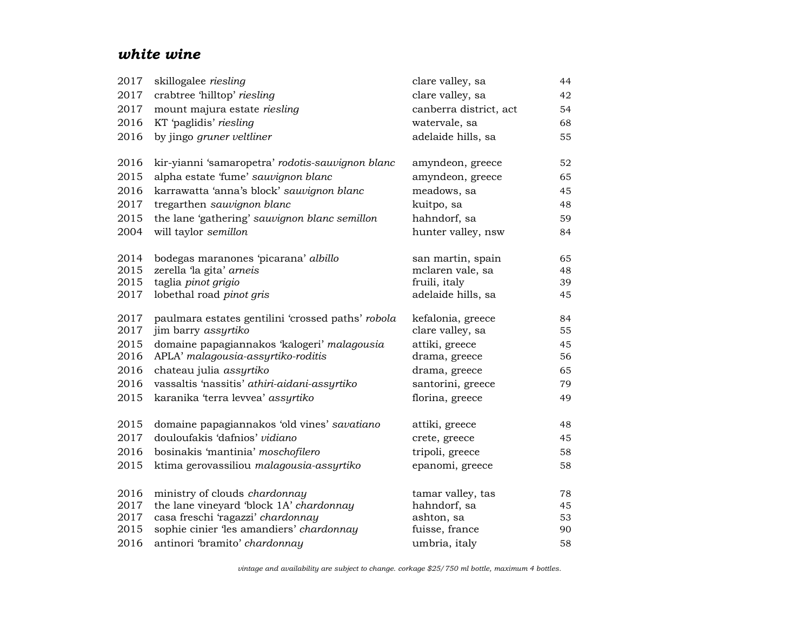## *white wine*

| 2017 | skillogalee riesling                              | clare valley, sa       | 44 |
|------|---------------------------------------------------|------------------------|----|
| 2017 | crabtree 'hilltop' riesling                       | clare valley, sa       | 42 |
| 2017 | mount majura estate riesling                      | canberra district, act | 54 |
| 2016 | KT 'paglidis' riesling                            | watervale, sa          | 68 |
| 2016 | by jingo gruner veltliner                         | adelaide hills, sa     | 55 |
| 2016 | kir-yianni 'samaropetra' rodotis-sauvignon blanc  | amyndeon, greece       | 52 |
| 2015 | alpha estate 'fume' sauvignon blanc               | amyndeon, greece       | 65 |
| 2016 | karrawatta 'anna's block' sauvignon blanc         | meadows, sa            | 45 |
| 2017 | tregarthen sauvignon blanc                        | kuitpo, sa             | 48 |
| 2015 | the lane 'gathering' sauvignon blanc semillon     | hahndorf, sa           | 59 |
| 2004 | will taylor semillon                              | hunter valley, nsw     | 84 |
| 2014 | bodegas maranones 'picarana' albillo              | san martin, spain      | 65 |
| 2015 | zerella 'la gita' arneis                          | mclaren vale, sa       | 48 |
| 2015 | taglia pinot grigio                               | fruili, italy          | 39 |
| 2017 | lobethal road pinot gris                          | adelaide hills, sa     | 45 |
| 2017 | paulmara estates gentilini 'crossed paths' robola | kefalonia, greece      | 84 |
| 2017 | jim barry assyrtiko                               | clare valley, sa       | 55 |
| 2015 | domaine papagiannakos 'kalogeri' malagousia       | attiki, greece         | 45 |
| 2016 | APLA' malagousia-assyrtiko-roditis                | drama, greece          | 56 |
| 2016 | chateau julia assyrtiko                           | drama, greece          | 65 |
| 2016 | vassaltis 'nassitis' athiri-aidani-assyrtiko      | santorini, greece      | 79 |
| 2015 | karanika 'terra levvea' assyrtiko                 | florina, greece        | 49 |
| 2015 | domaine papagiannakos 'old vines' savatiano       | attiki, greece         | 48 |
| 2017 | douloufakis 'dafnios' vidiano                     | crete, greece          | 45 |
| 2016 | bosinakis 'mantinia' moschofilero                 | tripoli, greece        | 58 |
| 2015 | ktima gerovassiliou malagousia-assyrtiko          | epanomi, greece        | 58 |
| 2016 | ministry of clouds chardonnay                     | tamar valley, tas      | 78 |
| 2017 | the lane vineyard 'block 1A' chardonnay           | hahndorf, sa           | 45 |
| 2017 | casa freschi 'ragazzi' chardonnay                 | ashton, sa             | 53 |
| 2015 | sophie cinier 'les amandiers' chardonnay          | fuisse, france         | 90 |
| 2016 | antinori 'bramito' chardonnay                     | umbria, italy          | 58 |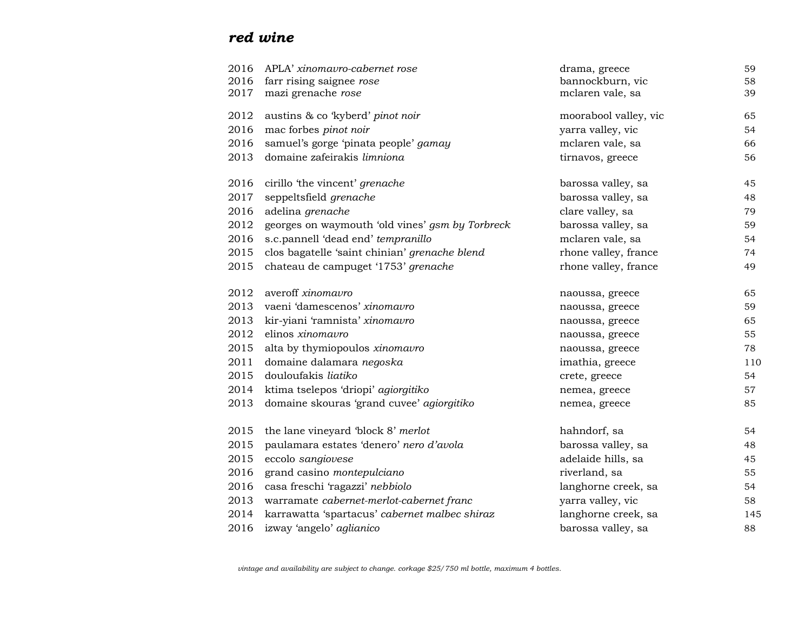# *red wine*

| 2016 | APLA' xinomavro-cabernet rose                   | drama, greece         | 59  |
|------|-------------------------------------------------|-----------------------|-----|
| 2016 | farr rising saignee rose                        | bannockburn, vic      | 58  |
| 2017 | mazi grenache rose                              | mclaren vale, sa      | 39  |
| 2012 | austins & co 'kyberd' pinot noir                | moorabool valley, vic | 65  |
| 2016 | mac forbes pinot noir                           | yarra valley, vic     | 54  |
| 2016 | samuel's gorge 'pinata people' gamay            | mclaren vale, sa      | 66  |
| 2013 | domaine zafeirakis limniona                     | tirnavos, greece      | 56  |
| 2016 | cirillo 'the vincent' grenache                  | barossa valley, sa    | 45  |
| 2017 | seppeltsfield grenache                          | barossa valley, sa    | 48  |
| 2016 | adelina grenache                                | clare valley, sa      | 79  |
| 2012 | georges on waymouth 'old vines' gsm by Torbreck | barossa valley, sa    | 59  |
| 2016 | s.c.pannell 'dead end' tempranillo              | mclaren vale, sa      | 54  |
| 2015 | clos bagatelle 'saint chinian' grenache blend   | rhone valley, france  | 74  |
| 2015 | chateau de campuget '1753' grenache             | rhone valley, france  | 49  |
| 2012 | averoff xinomavro                               | naoussa, greece       | 65  |
| 2013 | vaeni 'damescenos' xinomavro                    | naoussa, greece       | 59  |
| 2013 | kir-yiani 'ramnista' xinomavro                  | naoussa, greece       | 65  |
| 2012 | elinos xinomavro                                | naoussa, greece       | 55  |
| 2015 | alta by thymiopoulos xinomavro                  | naoussa, greece       | 78  |
| 2011 | domaine dalamara negoska                        | imathia, greece       | 110 |
| 2015 | douloufakis liatiko                             | crete, greece         | 54  |
| 2014 | ktima tselepos 'driopi' agiorgitiko             | nemea, greece         | 57  |
| 2013 | domaine skouras 'grand cuvee' agiorgitiko       | nemea, greece         | 85  |
| 2015 | the lane vineyard 'block 8' merlot              | hahndorf, sa          | 54  |
| 2015 | paulamara estates 'denero' nero d'avola         | barossa valley, sa    | 48  |
| 2015 | eccolo sangiovese                               | adelaide hills, sa    | 45  |
| 2016 | grand casino montepulciano                      | riverland, sa         | 55  |
| 2016 | casa freschi 'ragazzi' nebbiolo                 | langhorne creek, sa   | 54  |
| 2013 | warramate cabernet-merlot-cabernet franc        | yarra valley, vic     | 58  |
| 2014 | karrawatta 'spartacus' cabernet malbec shiraz   | langhorne creek, sa   | 145 |
| 2016 | izway 'angelo' aglianico                        | barossa valley, sa    | 88  |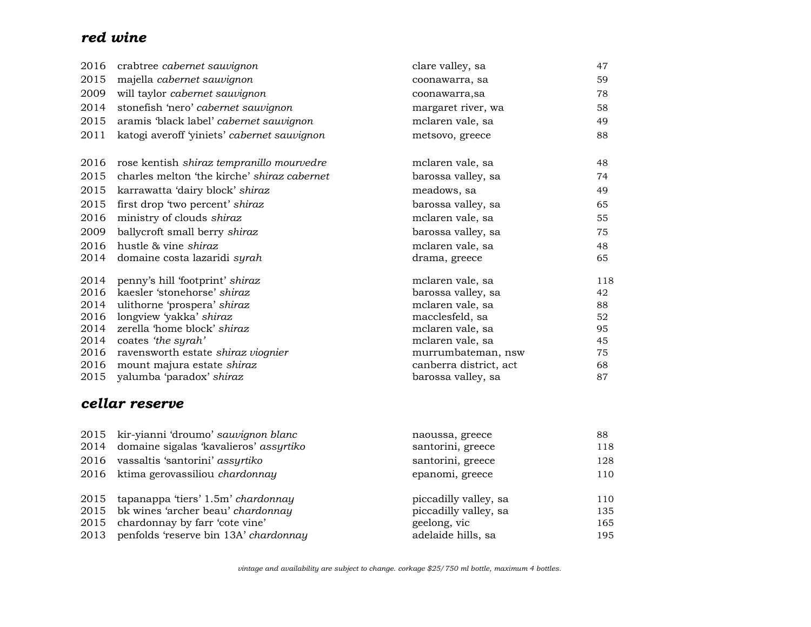# *red wine*

| 2016 | crabtree cabernet sauvignon                 | clare valley, sa       | 47  |
|------|---------------------------------------------|------------------------|-----|
| 2015 | majella cabernet sauvignon                  | coonawarra, sa         | 59  |
| 2009 | will taylor cabernet sauvignon              | coonawarra,sa          | 78  |
| 2014 | stonefish 'nero' cabernet sauvignon         | margaret river, wa     | 58  |
| 2015 | aramis 'black label' cabernet sauvignon     | mclaren vale, sa       | 49  |
| 2011 | katogi averoff 'yiniets' cabernet sauvignon | metsovo, greece        | 88  |
| 2016 | rose kentish shiraz tempranillo mourvedre   | mclaren vale, sa       | 48  |
| 2015 | charles melton 'the kirche' shiraz cabernet | barossa valley, sa     | 74  |
| 2015 | karrawatta 'dairy block' shiraz             | meadows, sa            | 49  |
| 2015 | first drop 'two percent' shiraz             | barossa valley, sa     | 65  |
| 2016 | ministry of clouds shiraz                   | mclaren vale, sa       | 55  |
| 2009 | ballycroft small berry shiraz               | barossa valley, sa     | 75  |
| 2016 | hustle & vine shiraz                        | mclaren vale, sa       | 48  |
| 2014 | domaine costa lazaridi syrah                | drama, greece          | 65  |
| 2014 | penny's hill 'footprint' shiraz             | mclaren vale, sa       | 118 |
| 2016 | kaesler 'stonehorse' shiraz                 | barossa valley, sa     | 42  |
| 2014 | ulithorne 'prospera' shiraz                 | mclaren vale, sa       | 88  |
| 2016 | longview 'yakka' shiraz                     | macclesfeld, sa        | 52  |
| 2014 | zerella 'home block' shiraz                 | mclaren vale, sa       | 95  |
| 2014 | coates 'the syrah'                          | mclaren vale, sa       | 45  |
| 2016 | ravensworth estate shiraz viognier          | murrumbateman, nsw     | 75  |
| 2016 | mount majura estate shiraz                  | canberra district, act | 68  |
| 2015 | yalumba 'paradox' shiraz                    | barossa valley, sa     | 87  |

# *cellar reserve*

| 2015 kir-yianni 'droumo' sauvignon blanc    | naoussa, greece       | 88  |
|---------------------------------------------|-----------------------|-----|
| 2014 domaine sigalas 'kavalieros' assyrtiko | santorini, greece     | 118 |
| 2016 vassaltis 'santorini' assyrtiko        | santorini, greece     | 128 |
| 2016 ktima gerovassiliou chardonnay         | epanomi, greece       | 110 |
| 2015 tapanappa 'tiers' 1.5m' chardonnay     | piccadilly valley, sa | 110 |
| 2015 bk wines 'archer beau' chardonnay      | piccadilly valley, sa | 135 |
| 2015 chardonnay by farr 'cote vine'         | geelong, vic          | 165 |
| 2013 penfolds 'reserve bin 13A' chardonnay  | adelaide hills, sa    | 195 |